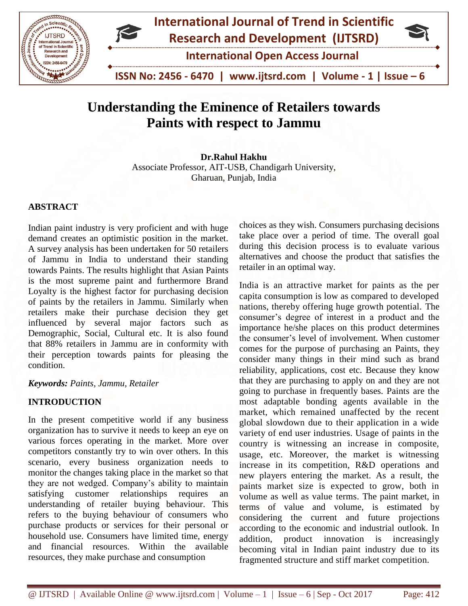

# **Understanding the Eminence of Retailers towards Paints with respect to Jammu**

**Dr.Rahul Hakhu**  Associate Professor, AIT-USB, Chandigarh University, Gharuan, Punjab, India

## **ABSTRACT**

Indian paint industry is very proficient and with huge demand creates an optimistic position in the market. A survey analysis has been undertaken for 50 retailers of Jammu in India to understand their standing towards Paints. The results highlight that Asian Paints is the most supreme paint and furthermore Brand Loyalty is the highest factor for purchasing decision of paints by the retailers in Jammu. Similarly when retailers make their purchase decision they get influenced by several major factors such as Demographic, Social, Cultural etc. It is also found that 88% retailers in Jammu are in conformity with their perception towards paints for pleasing the condition.

## *Keywords: Paints, Jammu, Retailer*

## **INTRODUCTION**

In the present competitive world if any business organization has to survive it needs to keep an eye on various forces operating in the market. More over competitors constantly try to win over others. In this scenario, every business organization needs to monitor the changes taking place in the market so that they are not wedged. Company's ability to maintain satisfying customer relationships requires an understanding of retailer buying behaviour. This refers to the buying behaviour of consumers who purchase products or services for their personal or household use. Consumers have limited time, energy and financial resources. Within the available resources, they make purchase and consumption

choices as they wish. Consumers purchasing decisions take place over a period of time. The overall goal during this decision process is to evaluate various alternatives and choose the product that satisfies the retailer in an optimal way.

India is an attractive market for paints as the per capita consumption is low as compared to developed nations, thereby offering huge growth potential. The consumer's degree of interest in a product and the importance he/she places on this product determines the consumer's level of involvement. When customer comes for the purpose of purchasing an Paints, they consider many things in their mind such as brand reliability, applications, cost etc. Because they know that they are purchasing to apply on and they are not going to purchase in frequently bases. Paints are the most adaptable bonding agents available in the market, which remained unaffected by the recent global slowdown due to their application in a wide variety of end user industries. Usage of paints in the country is witnessing an increase in composite, usage, etc. Moreover, the market is witnessing increase in its competition, R&D operations and new players entering the market. As a result, the paints market size is expected to grow, both in volume as well as value terms. The paint market, in terms of value and volume, is estimated by considering the current and future projections according to the economic and industrial outlook. In addition, product innovation is increasingly becoming vital in Indian paint industry due to its fragmented structure and stiff market competition.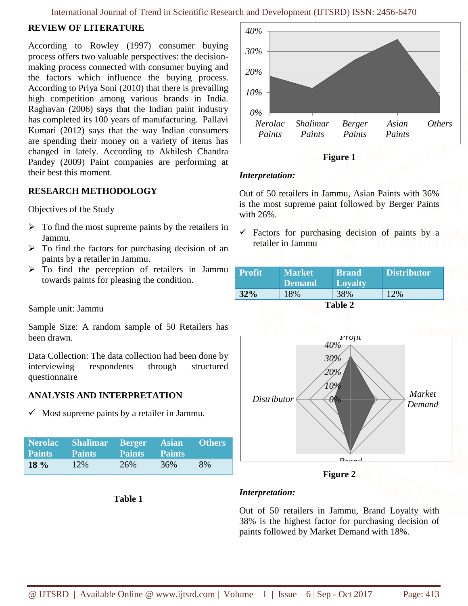# **REVIEW OF LITERATURE**

According to Rowley (1997) consumer buying process offers two valuable perspectives: the decisionmaking process connected with consumer buying and the factors which influence the buying process. According to Priya Soni (2010) that there is prevailing high competition among various brands in India. Raghavan (2006) says that the Indian paint industry has completed its 100 years of manufacturing. Pallavi Kumari (2012) says that the way Indian consumers are spending their money on a variety of items has changed in lately. According to Akhilesh Chandra Pandey (2009) Paint companies are performing at their best this moment.

## **RESEARCH METHODOLOGY**

Objectives of the Study

- $\triangleright$  To find the most supreme paints by the retailers in Jammu.
- $\triangleright$  To find the factors for purchasing decision of an paints by a retailer in Jammu.
- $\triangleright$  To find the perception of retailers in Jammu towards paints for pleasing the condition.

Sample unit: Jammu

Sample Size: A random sample of 50 Retailers has been drawn.

Data Collection: The data collection had been done by interviewing respondents through structured questionnaire

# **ANALYSIS AND INTERPRETATION**

 $\checkmark$  Most supreme paints by a retailer in Jammu.

|         | Nerolac Shalimar Berger Asian Others<br><b>Paints Paints Paints Paints</b> |     |     |    |
|---------|----------------------------------------------------------------------------|-----|-----|----|
| $18 \%$ | 12%                                                                        | 26% | 36% | 8% |

**Table 1**





## *Interpretation:*

Out of 50 retailers in Jammu, Asian Paints with 36% is the most supreme paint followed by Berger Paints with 26%.

 $\checkmark$  Factors for purchasing decision of paints by a retailer in Jammu

| <b>Profit</b> | <b>Market</b><br><b>Demand</b> | <b>Brand</b><br><b>Loyalty</b> | <b>Distributor</b> |
|---------------|--------------------------------|--------------------------------|--------------------|
| 32%           | 18%                            | 38%                            |                    |
|               |                                | Table 2                        |                    |



**Figure 2**

# *Interpretation:*

Out of 50 retailers in Jammu, Brand Loyalty with 38% is the highest factor for purchasing decision of paints followed by Market Demand with 18%.